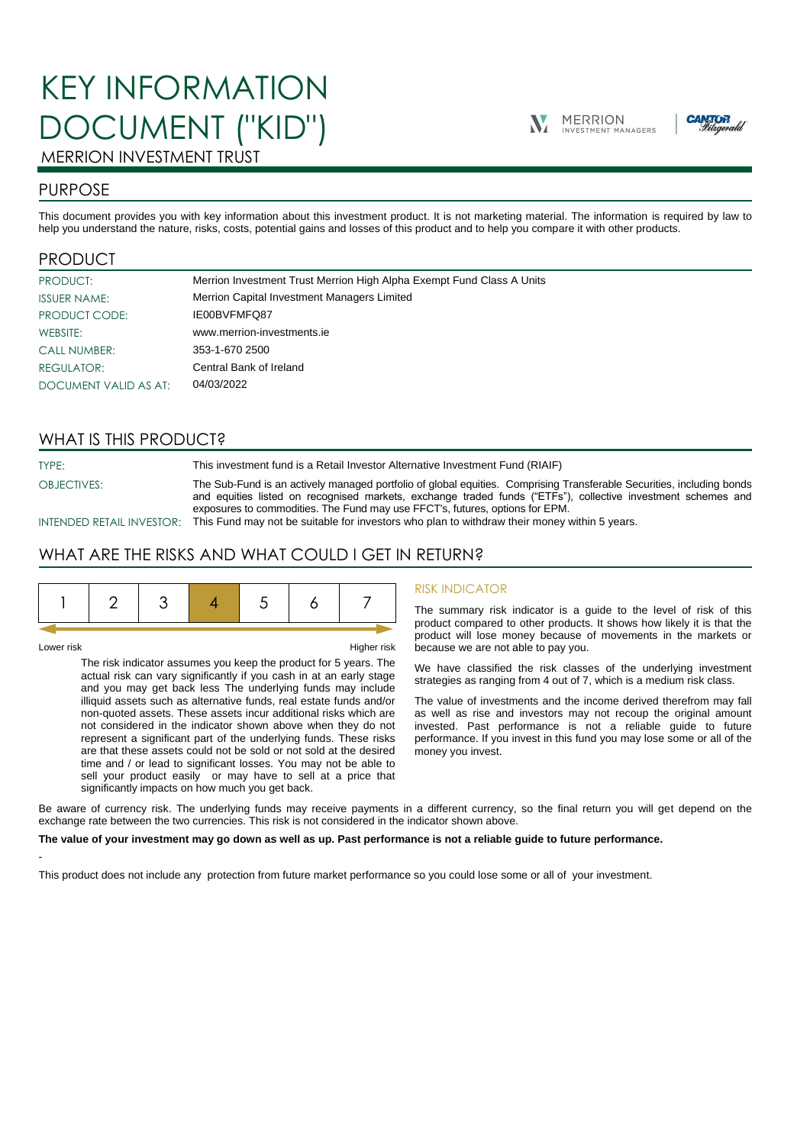# KEY INFORMATION DOCUMENT ("KID")





# MERRION INVESTMENT TRUST

## PURPOSE

This document provides you with key information about this investment product. It is not marketing material. The information is required by law to help you understand the nature, risks, costs, potential gains and losses of this product and to help you compare it with other products.

## PRODUCT

| PRODUCT:              | Merrion Investment Trust Merrion High Alpha Exempt Fund Class A Units |
|-----------------------|-----------------------------------------------------------------------|
| <b>ISSUER NAME:</b>   | Merrion Capital Investment Managers Limited                           |
| PRODUCT CODE:         | IE00BVFMFQ87                                                          |
| WEBSITE:              | www.merrion-investments.ie                                            |
| <b>CALL NUMBER:</b>   | 353-1-670 2500                                                        |
| <b>REGULATOR:</b>     | Central Bank of Ireland                                               |
| DOCUMENT VALID AS AT: | 04/03/2022                                                            |

## WHAT IS THIS PRODUCT?

TYPE: This investment fund is a Retail Investor Alternative Investment Fund (RIAIF)

OBJECTIVES: The Sub-Fund is an actively managed portfolio of global equities. Comprising Transferable Securities, including bonds and equities listed on recognised markets, exchange traded funds ("ETFs"), collective investment schemes and exposures to commodities. The Fund may use FFCT's, futures, options for EPM.

INTENDED RETAIL INVESTOR: This Fund may not be suitable for investors who plan to withdraw their money within 5 years.

## WHAT ARE THE RISKS AND WHAT COULD I GET IN RETURN?



-

Lower risk Higher risk

The risk indicator assumes you keep the product for 5 years. The actual risk can vary significantly if you cash in at an early stage and you may get back less The underlying funds may include illiquid assets such as alternative funds, real estate funds and/or non-quoted assets. These assets incur additional risks which are not considered in the indicator shown above when they do not represent a significant part of the underlying funds. These risks are that these assets could not be sold or not sold at the desired time and / or lead to significant losses. You may not be able to sell your product easily or may have to sell at a price that significantly impacts on how much you get back.

#### RISK INDICATOR

The summary risk indicator is a guide to the level of risk of this product compared to other products. It shows how likely it is that the product will lose money because of movements in the markets or because we are not able to pay you.

We have classified the risk classes of the underlying investment strategies as ranging from 4 out of 7, which is a medium risk class.

The value of investments and the income derived therefrom may fall as well as rise and investors may not recoup the original amount invested. Past performance is not a reliable guide to future performance. If you invest in this fund you may lose some or all of the money you invest.

Be aware of currency risk. The underlying funds may receive payments in a different currency, so the final return you will get depend on the exchange rate between the two currencies. This risk is not considered in the indicator shown above.

#### **The value of your investment may go down as well as up. Past performance is not a reliable guide to future performance.**

This product does not include any protection from future market performance so you could lose some or all of your investment.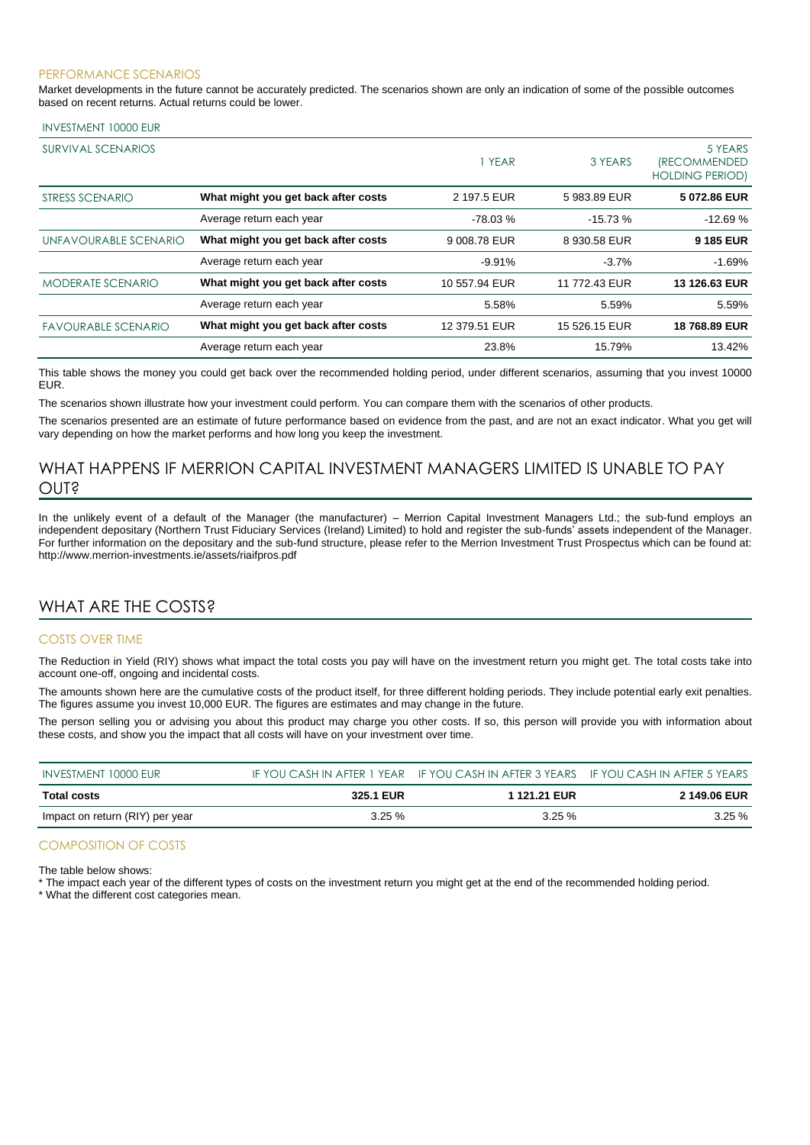#### PERFORMANCE SCENARIOS

Market developments in the future cannot be accurately predicted. The scenarios shown are only an indication of some of the possible outcomes based on recent returns. Actual returns could be lower.

#### INVESTMENT 10000 EUR

| SURVIVAL SCENARIOS         |                                     | 1 YEAR        | 3 YEARS       | 5 YEARS<br><i><b>(RECOMMENDED</b></i><br><b>HOLDING PERIOD)</b> |
|----------------------------|-------------------------------------|---------------|---------------|-----------------------------------------------------------------|
| STRESS SCENARIO            | What might you get back after costs | 2 197.5 EUR   | 5983.89 EUR   | 5 072.86 EUR                                                    |
|                            | Average return each year            | $-78.03%$     | $-15.73%$     | $-12.69%$                                                       |
| UNFAVOURABLE SCENARIO      | What might you get back after costs | 9 008.78 EUR  | 8 930.58 EUR  | 9 185 EUR                                                       |
|                            | Average return each year            | $-9.91%$      | $-3.7%$       | $-1.69%$                                                        |
| <b>MODERATE SCENARIO</b>   | What might you get back after costs | 10 557.94 EUR | 11 772.43 EUR | 13 126.63 EUR                                                   |
|                            | Average return each year            | 5.58%         | 5.59%         | 5.59%                                                           |
| <b>FAVOURABLE SCENARIO</b> | What might you get back after costs | 12 379.51 EUR | 15 526.15 EUR | 18 768.89 EUR                                                   |
|                            | Average return each year            | 23.8%         | 15.79%        | 13.42%                                                          |

This table shows the money you could get back over the recommended holding period, under different scenarios, assuming that you invest 10000 EUR.

The scenarios shown illustrate how your investment could perform. You can compare them with the scenarios of other products.

The scenarios presented are an estimate of future performance based on evidence from the past, and are not an exact indicator. What you get will vary depending on how the market performs and how long you keep the investment.

## WHAT HAPPENS IF MERRION CAPITAL INVESTMENT MANAGERS LIMITED IS UNABLE TO PAY OUT?

In the unlikely event of a default of the Manager (the manufacturer) – Merrion Capital Investment Managers Ltd.; the sub-fund employs an independent depositary (Northern Trust Fiduciary Services (Ireland) Limited) to hold and register the sub-funds' assets independent of the Manager. For further information on the depositary and the sub-fund structure, please refer to the Merrion Investment Trust Prospectus which can be found at: http://www.merrion-investments.ie/assets/riaifpros.pdf

### WHAT ARE THE COSTS?

#### COSTS OVER TIME

The Reduction in Yield (RIY) shows what impact the total costs you pay will have on the investment return you might get. The total costs take into account one-off, ongoing and incidental costs.

The amounts shown here are the cumulative costs of the product itself, for three different holding periods. They include potential early exit penalties. The figures assume you invest 10,000 EUR. The figures are estimates and may change in the future.

The person selling you or advising you about this product may charge you other costs. If so, this person will provide you with information about these costs, and show you the impact that all costs will have on your investment over time.

| INVESTMENT 10000 EUR            |           | IF YOU CASH IN AFTER 1 YEAR IF YOU CASH IN AFTER 3 YEARS IF YOU CASH IN AFTER 5 YEARS |                     |
|---------------------------------|-----------|---------------------------------------------------------------------------------------|---------------------|
| <b>Total costs</b>              | 325.1 EUR | 1 121.21 EUR                                                                          | <b>2 149.06 EUR</b> |
| Impact on return (RIY) per year | $3.25 \%$ | 3.25%                                                                                 | 3.25%               |

#### COMPOSITION OF COSTS

The table below shows:

\* The impact each year of the different types of costs on the investment return you might get at the end of the recommended holding period.

\* What the different cost categories mean.